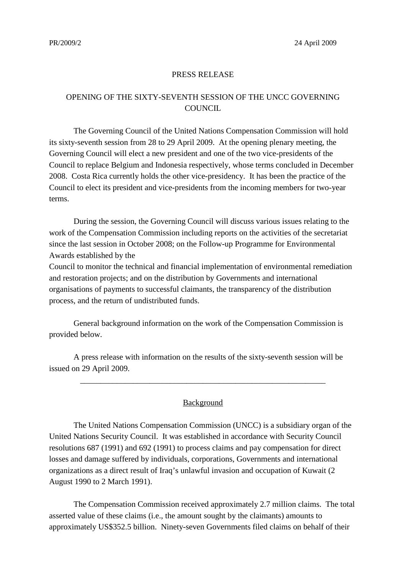## PRESS RELEASE

## OPENING OF THE SIXTY-SEVENTH SESSION OF THE UNCC GOVERNING **COUNCIL**

The Governing Council of the United Nations Compensation Commission will hold its sixty-seventh session from 28 to 29 April 2009. At the opening plenary meeting, the Governing Council will elect a new president and one of the two vice-presidents of the Council to replace Belgium and Indonesia respectively, whose terms concluded in December 2008. Costa Rica currently holds the other vice-presidency. It has been the practice of the Council to elect its president and vice-presidents from the incoming members for two-year terms.

During the session, the Governing Council will discuss various issues relating to the work of the Compensation Commission including reports on the activities of the secretariat since the last session in October 2008; on the Follow-up Programme for Environmental Awards established by the

Council to monitor the technical and financial implementation of environmental remediation and restoration projects; and on the distribution by Governments and international organisations of payments to successful claimants, the transparency of the distribution process, and the return of undistributed funds.

General background information on the work of the Compensation Commission is provided below.

A press release with information on the results of the sixty-seventh session will be issued on 29 April 2009.

## Background

\_\_\_\_\_\_\_\_\_\_\_\_\_\_\_\_\_\_\_\_\_\_\_\_\_\_\_\_\_\_\_\_\_\_\_\_\_\_\_\_\_\_\_\_\_\_\_\_\_\_\_\_\_\_\_\_\_\_\_\_

The United Nations Compensation Commission (UNCC) is a subsidiary organ of the United Nations Security Council. It was established in accordance with Security Council resolutions 687 (1991) and 692 (1991) to process claims and pay compensation for direct losses and damage suffered by individuals, corporations, Governments and international organizations as a direct result of Iraq's unlawful invasion and occupation of Kuwait (2 August 1990 to 2 March 1991).

The Compensation Commission received approximately 2.7 million claims. The total asserted value of these claims (i.e., the amount sought by the claimants) amounts to approximately US\$352.5 billion. Ninety-seven Governments filed claims on behalf of their